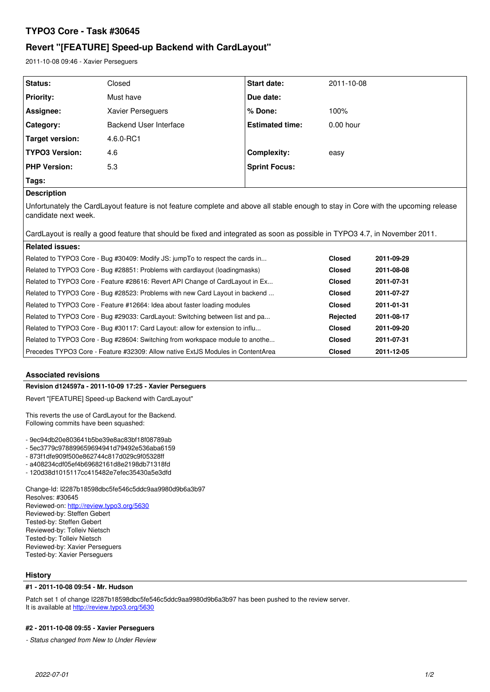# **TYPO3 Core - Task #30645**

# **Revert "[FEATURE] Speed-up Backend with CardLayout"**

2011-10-08 09:46 - Xavier Perseguers

| Status:                | Closed                 | <b>Start date:</b>     | 2011-10-08  |
|------------------------|------------------------|------------------------|-------------|
| <b>Priority:</b>       | Must have              | Due date:              |             |
| Assignee:              | Xavier Perseguers      | $%$ Done:              | 100%        |
| Category:              | Backend User Interface | <b>Estimated time:</b> | $0.00$ hour |
| <b>Target version:</b> | 4.6.0-RC1              |                        |             |
| <b>TYPO3 Version:</b>  | 4.6                    | Complexity:            | easy        |
| <b>PHP Version:</b>    | 5.3                    | <b>Sprint Focus:</b>   |             |
| Tags:                  |                        |                        |             |

# **Description**

Unfortunately the CardLayout feature is not feature complete and above all stable enough to stay in Core with the upcoming release candidate next week.

| CardLayout is really a good feature that should be fixed and integrated as soon as possible in TYPO3 4.7, in November 2011. |               |            |  |  |
|-----------------------------------------------------------------------------------------------------------------------------|---------------|------------|--|--|
| <b>Related issues:</b>                                                                                                      |               |            |  |  |
| Related to TYPO3 Core - Bug #30409: Modify JS: jumpTo to respect the cards in                                               | <b>Closed</b> | 2011-09-29 |  |  |
| Related to TYPO3 Core - Bug #28851: Problems with cardlayout (loadingmasks)                                                 | <b>Closed</b> | 2011-08-08 |  |  |
| Related to TYPO3 Core - Feature #28616: Revert API Change of CardLayout in Ex                                               | <b>Closed</b> | 2011-07-31 |  |  |
| Related to TYPO3 Core - Bug #28523: Problems with new Card Layout in backend                                                | <b>Closed</b> | 2011-07-27 |  |  |
| Related to TYPO3 Core - Feature #12664: Idea about faster loading modules                                                   | <b>Closed</b> | 2011-01-31 |  |  |
| Related to TYPO3 Core - Bug #29033: CardLayout: Switching between list and pa                                               | Rejected      | 2011-08-17 |  |  |
| Related to TYPO3 Core - Bug #30117: Card Layout: allow for extension to influ                                               | <b>Closed</b> | 2011-09-20 |  |  |
| Related to TYPO3 Core - Bug #28604: Switching from workspace module to anothe                                               | <b>Closed</b> | 2011-07-31 |  |  |
| Precedes TYPO3 Core - Feature #32309: Allow native ExtJS Modules in ContentArea                                             | <b>Closed</b> | 2011-12-05 |  |  |

## **Associated revisions**

### **Revision d124597a - 2011-10-09 17:25 - Xavier Perseguers**

Revert "[FEATURE] Speed-up Backend with CardLayout"

This reverts the use of CardLayout for the Backend. Following commits have been squashed:

- 9ec94db20e803641b5be39e8ac83bf18f08789ab

- 5ec3779c978899659694941d79492e536aba6159

- 873f1dfe909f500e862744c817d029c9f05328ff

- a408234cdf05ef4b69682161d8e2198db71318fd

- 120d38d1015117cc415482e7efec35430a5e3dfd

Change-Id: I2287b18598dbc5fe546c5ddc9aa9980d9b6a3b97 Resolves: #30645 Reviewed-on:<http://review.typo3.org/5630> Reviewed-by: Steffen Gebert Tested-by: Steffen Gebert Reviewed-by: Tolleiv Nietsch Tested-by: Tolleiv Nietsch Reviewed-by: Xavier Perseguers Tested-by: Xavier Perseguers

### **History**

### **#1 - 2011-10-08 09:54 - Mr. Hudson**

Patch set 1 of change I2287b18598dbc5fe546c5ddc9aa9980d9b6a3b97 has been pushed to the review server. It is available at <http://review.typo3.org/5630>

# **#2 - 2011-10-08 09:55 - Xavier Perseguers**

*- Status changed from New to Under Review*